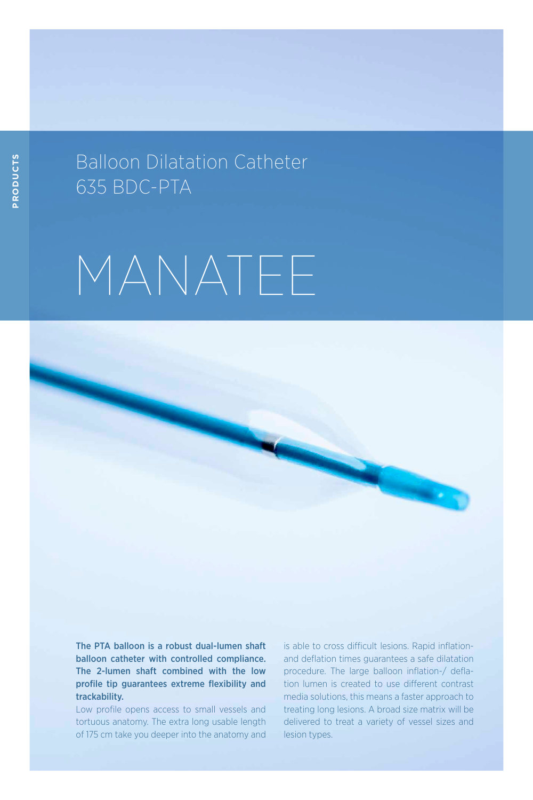## Balloon Dilatation Catheter 635 BDC-PTA

# MANATEE

The PTA balloon is a robust dual-lumen shaft balloon catheter with controlled compliance. The 2-lumen shaft combined with the low profile tip guarantees extreme flexibility and trackability.

Low profile opens access to small vessels and tortuous anatomy. The extra long usable length of 175 cm take you deeper into the anatomy and is able to cross difficult lesions. Rapid inflationand deflation times guarantees a safe dilatation procedure. The large balloon inflation-/ deflation lumen is created to use different contrast media solutions, this means a faster approach to treating long lesions. A broad size matrix will be delivered to treat a variety of vessel sizes and lesion types.